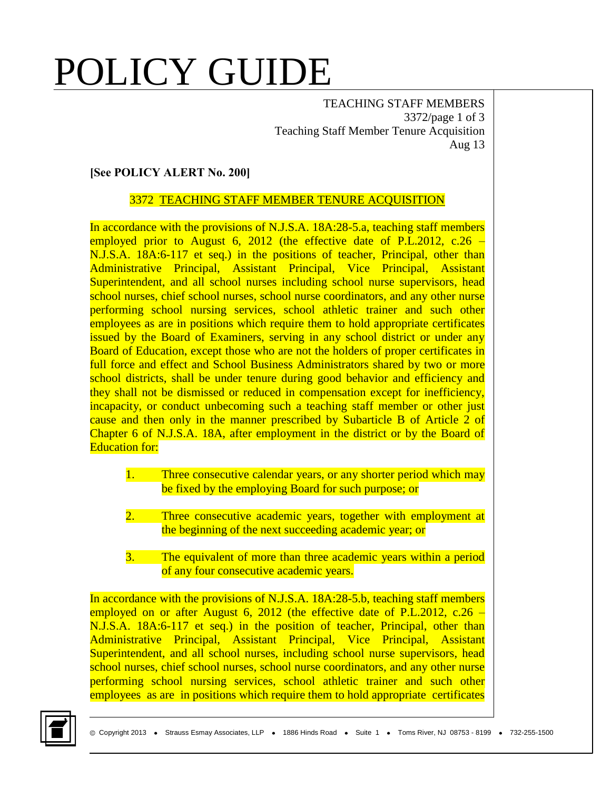# POLICY GUIDE

TEACHING STAFF MEMBERS 3372/page 1 of 3 Teaching Staff Member Tenure Acquisition Aug 13

### **[See POLICY ALERT No. 200]**

#### 3372 TEACHING STAFF MEMBER TENURE ACQUISITION

In accordance with the provisions of N.J.S.A. 18A:28-5.a, teaching staff members employed prior to August 6, 2012 (the effective date of P.L.2012, c.26 – N.J.S.A. 18A:6-117 et seq.) in the positions of teacher, Principal, other than Administrative Principal, Assistant Principal, Vice Principal, Assistant Superintendent, and all school nurses including school nurse supervisors, head school nurses, chief school nurses, school nurse coordinators, and any other nurse performing school nursing services, school athletic trainer and such other employees as are in positions which require them to hold appropriate certificates issued by the Board of Examiners, serving in any school district or under any Board of Education, except those who are not the holders of proper certificates in full force and effect and School Business Administrators shared by two or more school districts, shall be under tenure during good behavior and efficiency and they shall not be dismissed or reduced in compensation except for inefficiency, incapacity, or conduct unbecoming such a teaching staff member or other just cause and then only in the manner prescribed by Subarticle B of Article 2 of Chapter 6 of N.J.S.A. 18A, after employment in the district or by the Board of Education for:

- 1. Three consecutive calendar years, or any shorter period which may be fixed by the employing Board for such purpose; or
- 2. Three consecutive academic years, together with employment at the beginning of the next succeeding academic year; or
- 3. The equivalent of more than three academic years within a period of any four consecutive academic years.

In accordance with the provisions of N.J.S.A. 18A:28-5.b, teaching staff members employed on or after August 6, 2012 (the effective date of P.L.2012, c.26  $-$ N.J.S.A. 18A:6-117 et seq.) in the position of teacher, Principal, other than Administrative Principal, Assistant Principal, Vice Principal, Assistant Superintendent, and all school nurses, including school nurse supervisors, head school nurses, chief school nurses, school nurse coordinators, and any other nurse performing school nursing services, school athletic trainer and such other employees as are in positions which require them to hold appropriate certificates

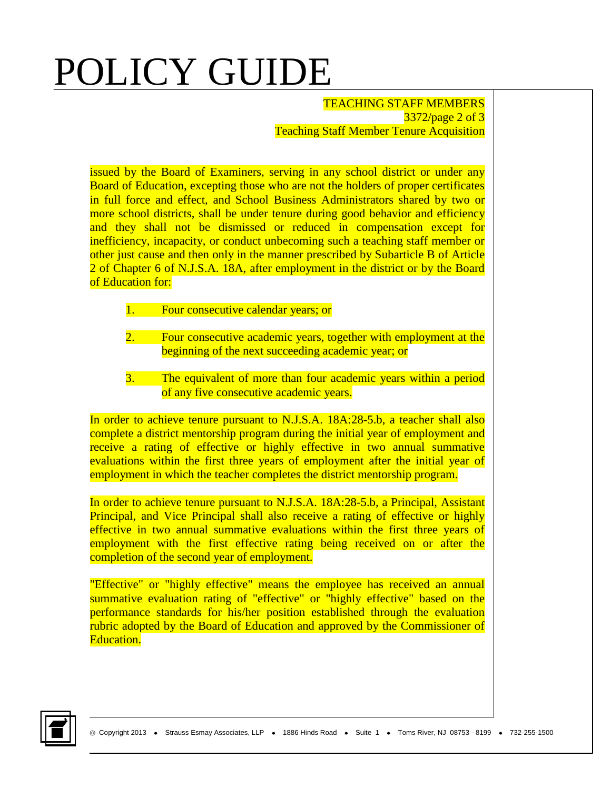## POLICY GUIDE

TEACHING STAFF MEMBERS 3372/page 2 of 3 Teaching Staff Member Tenure Acquisition

issued by the Board of Examiners, serving in any school district or under any Board of Education, excepting those who are not the holders of proper certificates in full force and effect, and School Business Administrators shared by two or more school districts, shall be under tenure during good behavior and efficiency and they shall not be dismissed or reduced in compensation except for inefficiency, incapacity, or conduct unbecoming such a teaching staff member or other just cause and then only in the manner prescribed by Subarticle B of Article 2 of Chapter 6 of N.J.S.A. 18A, after employment in the district or by the Board of Education for:

- 1. Four consecutive calendar years; or
- 2. Four consecutive academic years, together with employment at the beginning of the next succeeding academic year; or
- 3. The equivalent of more than four academic years within a period of any five consecutive academic years.

In order to achieve tenure pursuant to N.J.S.A. 18A:28-5.b, a teacher shall also complete a district mentorship program during the initial year of employment and receive a rating of effective or highly effective in two annual summative evaluations within the first three years of employment after the initial year of employment in which the teacher completes the district mentorship program.

In order to achieve tenure pursuant to N.J.S.A. 18A:28-5.b, a Principal, Assistant Principal, and Vice Principal shall also receive a rating of effective or highly effective in two annual summative evaluations within the first three years of employment with the first effective rating being received on or after the completion of the second year of employment.

"Effective" or "highly effective" means the employee has received an annual summative evaluation rating of "effective" or "highly effective" based on the performance standards for his/her position established through the evaluation rubric adopted by the Board of Education and approved by the Commissioner of Education.